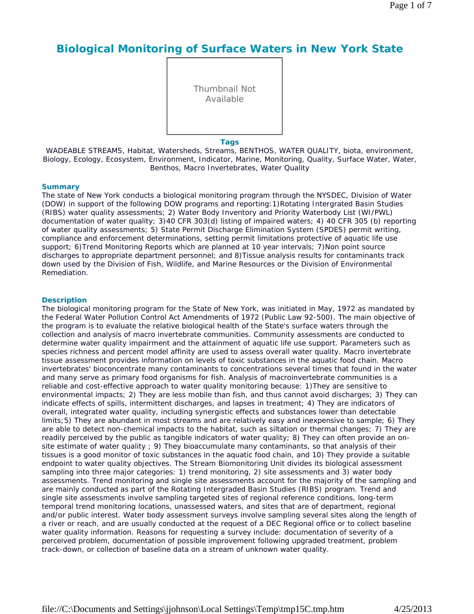# **Biological Monitoring of Surface Waters in New York State**

Thumbnail Not Available

**Tags**

WADEABLE STREAMS, Habitat, Watersheds, Streams, BENTHOS, WATER QUALITY, biota, environment, Biology, Ecology, Ecosystem, Environment, Indicator, Marine, Monitoring, Quality, Surface Water, Water, Benthos, Macro Invertebrates, Water Quality

### **Summary**

The state of New York conducts a biological monitoring program through the NYSDEC, Division of Water (DOW) in support of the following DOW programs and reporting:1)Rotating Intergrated Basin Studies (RIBS) water quality assessments; 2) Water Body Inventory and Priority Waterbody List (WI/PWL) documentation of water quality; 3)40 CFR 303(d) listing of impaired waters; 4) 40 CFR 305 (b) reporting of water quality assessments; 5) State Permit Discharge Elimination System (SPDES) permit writing, compliance and enforcement determinations, setting permit limitations protective of aquatic life use support; 6)Trend Monitoring Reports which are planned at 10 year intervals; 7)Non point source discharges to appropriate department personnel; and 8)Tissue analysis results for contaminants track down used by the Division of Fish, Wildlife, and Marine Resources or the Division of Environmental Remediation.

#### **Description**

The biological monitoring program for the State of New York, was initiated in May, 1972 as mandated by the Federal Water Pollution Control Act Amendments of 1972 (Public Law 92-500). The main objective of the program is to evaluate the relative biological health of the State's surface waters through the collection and analysis of macro invertebrate communities. Community assessments are conducted to determine water quality impairment and the attainment of aquatic life use support. Parameters such as species richness and percent model affinity are used to assess overall water quality. Macro invertebrate tissue assessment provides information on levels of toxic substances in the aquatic food chain. Macro invertebrates' bioconcentrate many contaminants to concentrations several times that found in the water and many serve as primary food organisms for fish. Analysis of macroinvertebrate communities is a reliable and cost-effective approach to water quality monitoring because: 1)They are sensitive to environmental impacts; 2) They are less mobile than fish, and thus cannot avoid discharges; 3) They can indicate effects of spills, intermittent discharges, and lapses in treatment; 4) They are indicators of overall, integrated water quality, including synergistic effects and substances lower than detectable limits;5) They are abundant in most streams and are relatively easy and inexpensive to sample; 6) They are able to detect non-chemical impacts to the habitat, such as siltation or thermal changes; 7) They are readily perceived by the public as tangible indicators of water quality; 8) They can often provide an onsite estimate of water quality ; 9) They bioaccumulate many contaminants, so that analysis of their tissues is a good monitor of toxic substances in the aquatic food chain, and 10) They provide a suitable endpoint to water quality objectives. The Stream Biomonitoring Unit divides its biological assessment sampling into three major categories: 1) trend monitoring, 2) site assessments and 3) water body assessments. Trend monitoring and single site assessments account for the majority of the sampling and are mainly conducted as part of the Rotating Intergraded Basin Studies (RIBS) program. Trend and single site assessments involve sampling targeted sites of regional reference conditions, long-term temporal trend monitoring locations, unassessed waters, and sites that are of department, regional and/or public interest. Water body assessment surveys involve sampling several sites along the length of a river or reach, and are usually conducted at the request of a DEC Regional office or to collect baseline water quality information. Reasons for requesting a survey include: documentation of severity of a perceived problem, documentation of possible improvement following upgraded treatment, problem track-down, or collection of baseline data on a stream of unknown water quality.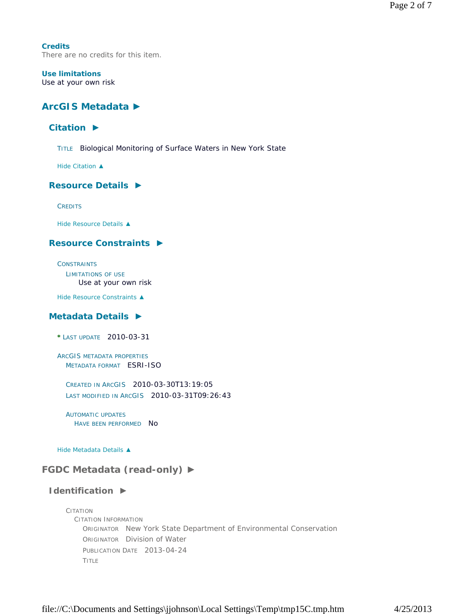**Credits** There are no credits for this item.

#### **Use limitations** Use at your own risk

# **ArcGIS Metadata ►**

# **Citation ►**

TITLE Biological Monitoring of Surface Waters in New York State

*Hide Citation ▲*

## **Resource Details ►**

**CREDITS** 

*Hide Resource Details ▲*

# **Resource Constraints ►**

**CONSTRAINTS** LIMITATIONS OF USE Use at your own risk

*Hide Resource Constraints ▲*

## **Metadata Details ►**

**\*** LAST UPDATE 2010-03-31

ARCGIS METADATA PROPERTIES METADATA FORMAT ESRI-ISO

CREATED IN ARCGIS 2010-03-30T13:19:05 LAST MODIFIED IN ARCGIS 2010-03-31T09:26:43

AUTOMATIC UPDATES HAVE BEEN PERFORMED NO

*Hide Metadata Details ▲*

# **FGDC Metadata (read-only) ►**

## **Identification ►**

CITATION CITATION INFORMATION ORIGINATOR New York State Department of Environmental Conservation ORIGINATOR Division of Water PUBLICATION DATE 2013-04-24 TITLE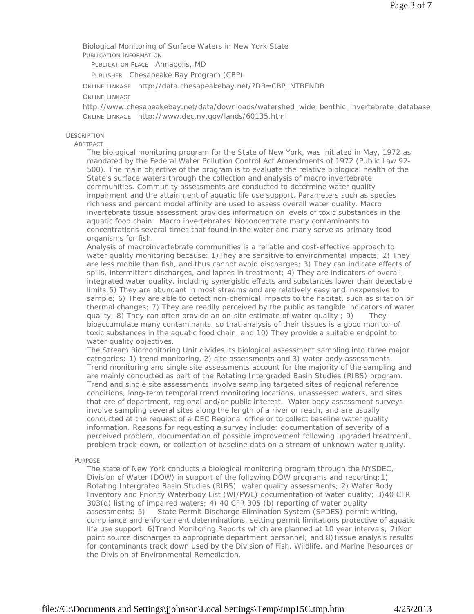Biological Monitoring of Surface Waters in New York State PUBLICATION INFORMATION

PUBLICATION PLACE Annapolis, MD

PUBLISHER Chesapeake Bay Program (CBP)

ONLINE LINKAGE http://data.chesapeakebay.net/?DB=CBP\_NTBENDB

### ONLINE LINKAGE

http://www.chesapeakebay.net/data/downloads/watershed\_wide\_benthic\_invertebrate\_database ONLINE LINKAGE http://www.dec.ny.gov/lands/60135.html

## **DESCRIPTION**

### ABSTRACT

The biological monitoring program for the State of New York, was initiated in May, 1972 as mandated by the Federal Water Pollution Control Act Amendments of 1972 (Public Law 92- 500). The main objective of the program is to evaluate the relative biological health of the State's surface waters through the collection and analysis of macro invertebrate communities. Community assessments are conducted to determine water quality impairment and the attainment of aquatic life use support. Parameters such as species richness and percent model affinity are used to assess overall water quality. Macro invertebrate tissue assessment provides information on levels of toxic substances in the aquatic food chain. Macro invertebrates' bioconcentrate many contaminants to concentrations several times that found in the water and many serve as primary food organisms for fish.

Analysis of macroinvertebrate communities is a reliable and cost-effective approach to water quality monitoring because: 1)They are sensitive to environmental impacts; 2) They are less mobile than fish, and thus cannot avoid discharges; 3) They can indicate effects of spills, intermittent discharges, and lapses in treatment; 4) They are indicators of overall, integrated water quality, including synergistic effects and substances lower than detectable limits;5) They are abundant in most streams and are relatively easy and inexpensive to sample; 6) They are able to detect non-chemical impacts to the habitat, such as siltation or thermal changes; 7) They are readily perceived by the public as tangible indicators of water quality; 8) They can often provide an on-site estimate of water quality  $; 9)$  They bioaccumulate many contaminants, so that analysis of their tissues is a good monitor of toxic substances in the aquatic food chain, and 10) They provide a suitable endpoint to water quality objectives.

The Stream Biomonitoring Unit divides its biological assessment sampling into three major categories: 1) trend monitoring, 2) site assessments and 3) water body assessments. Trend monitoring and single site assessments account for the majority of the sampling and are mainly conducted as part of the Rotating Intergraded Basin Studies (RIBS) program. Trend and single site assessments involve sampling targeted sites of regional reference conditions, long-term temporal trend monitoring locations, unassessed waters, and sites that are of department, regional and/or public interest. Water body assessment surveys involve sampling several sites along the length of a river or reach, and are usually conducted at the request of a DEC Regional office or to collect baseline water quality information. Reasons for requesting a survey include: documentation of severity of a perceived problem, documentation of possible improvement following upgraded treatment, problem track-down, or collection of baseline data on a stream of unknown water quality.

#### PURPOSE

The state of New York conducts a biological monitoring program through the NYSDEC, Division of Water (DOW) in support of the following DOW programs and reporting:1) Rotating Intergrated Basin Studies (RIBS) water quality assessments; 2) Water Body Inventory and Priority Waterbody List (WI/PWL) documentation of water quality; 3)40 CFR 303(d) listing of impaired waters; 4) 40 CFR 305 (b) reporting of water quality assessments; 5) State Permit Discharge Elimination System (SPDES) permit writing, compliance and enforcement determinations, setting permit limitations protective of aquatic life use support; 6)Trend Monitoring Reports which are planned at 10 year intervals; 7)Non point source discharges to appropriate department personnel; and 8)Tissue analysis results for contaminants track down used by the Division of Fish, Wildlife, and Marine Resources or the Division of Environmental Remediation.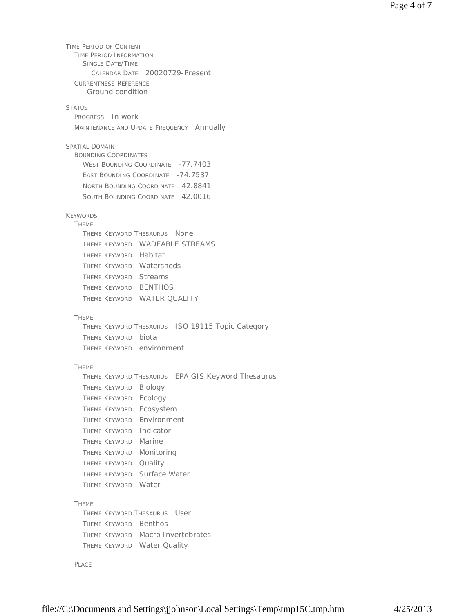TIME PERIOD OF CONTENT TIME PERIOD INFORMATION SINGLE DATE/TIME CALENDAR DATE 20020729-Present CURRENTNESS REFERENCE STATUS PROGRESS In work MAINTENANCE AND UPDATE FREQUENCY Annually SPATIAL DOMAIN BOUNDING COORDINATES WEST BOUNDING COORDINATE -77.7403 EAST BOUNDING COORDINATE -74.7537 NORTH BOUNDING COORDINATE 42.8841 SOUTH BOUNDING COORDINATE 42.0016 KEYWORDS **THEME** THEME KEYWORD THESAURUS None THEME KEYWORD WADEABLE STREAMS THEME KEYWORD Habitat THEME KEYWORD Watersheds THEME KEYWORD Streams THEME KEYWORD BENTHOS THEME KEYWORD WATER QUALITY THEME THEME KEYWORD THESAURUS ISO 19115 Topic Category THEME KEYWORD biota THEME KEYWORD environment THEME THEME KEYWORD THESAURUS EPA GIS Keyword Thesaurus THEME KEYWORD Biology THEME KEYWORD Ecology THEME KEYWORD Ecosystem THEME KEYWORD Environment THEME KEYWORD Indicator THEME KEYWORD Marine THEME KEYWORD Monitoring THEME KEYWORD Quality THEME KEYWORD Surface Water THEME KEYWORD Water THEME THEME KEYWORD THESAURUS User THEME KEYWORD Benthos THEME KEYWORD Macro Invertebrates THEME KEYWORD Water Quality Ground condition

PLACE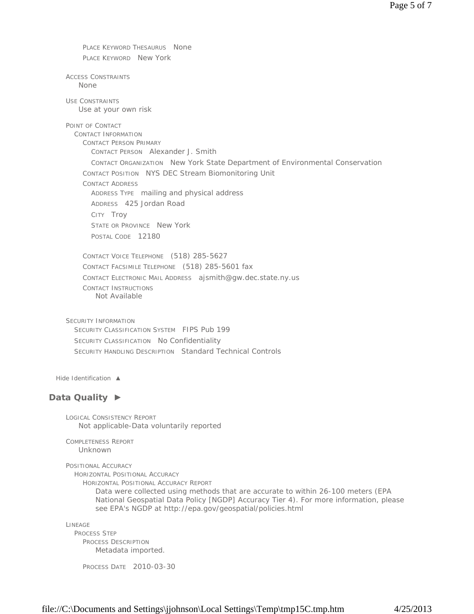PLACE KEYWORD THESAURUS None PLACE KEYWORD New York

ACCESS CONSTRAINTS None

USE CONSTRAINTS Use at your own risk

POINT OF CONTACT

CONTACT INFORMATION CONTACT PERSON PRIMARY CONTACT PERSON Alexander J. Smith CONTACT ORGANIZATION New York State Department of Environmental Conservation CONTACT POSITION NYS DEC Stream Biomonitoring Unit CONTACT ADDRESS ADDRESS TYPE mailing and physical address ADDRESS 425 Jordan Road CITY Troy STATE OR PROVINCE New York POSTAL CODE 12180

CONTACT VOICE TELEPHONE (518) 285-5627 CONTACT FACSIMILE TELEPHONE (518) 285-5601 fax CONTACT ELECTRONIC MAIL ADDRESS ajsmith@gw.dec.state.ny.us CONTACT INSTRUCTIONS Not Available

SECURITY INFORMATION SECURITY CLASSIFICATION SYSTEM FIPS Pub 199 SECURITY CLASSIFICATION No Confidentiality SECURITY HANDLING DESCRIPTION Standard Technical Controls

*Hide Identification ▲*

# **Data Quality ►**

LOGICAL CONSISTENCY REPORT Not applicable-Data voluntarily reported

COMPLETENESS REPORT Unknown

```
POSITIONAL ACCURACY
```
HORIZONTAL POSITIONAL ACCURACY

HORIZONTAL POSITIONAL ACCURACY REPORT

Data were collected using methods that are accurate to within 26-100 meters (EPA National Geospatial Data Policy [NGDP] Accuracy Tier 4). For more information, please see EPA's NGDP at http://epa.gov/geospatial/policies.html

LINEAGE

PROCESS STEP PROCESS DESCRIPTION Metadata imported.

PROCESS DATE 2010-03-30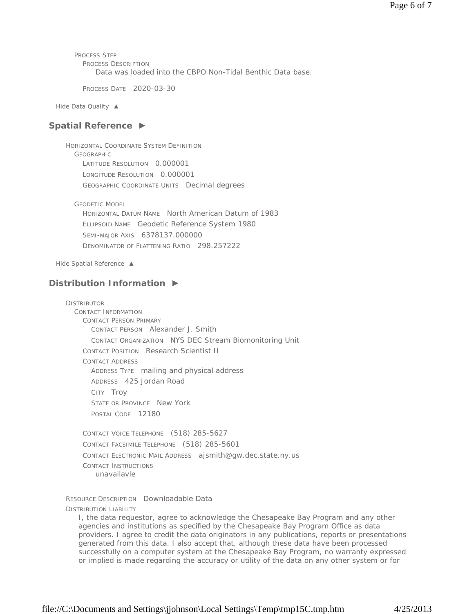PROCESS STEP PROCESS DESCRIPTION Data was loaded into the CBPO Non-Tidal Benthic Data base.

PROCESS DATE 2020-03-30

*Hide Data Quality ▲*

## **Spatial Reference ►**

HORIZONTAL COORDINATE SYSTEM DEFINITION GEOGRAPHIC LATITUDE RESOLUTION 0.000001 LONGITUDE RESOLUTION 0.000001 GEOGRAPHIC COORDINATE UNITS Decimal degrees

GEODETIC MODEL

HORIZONTAL DATUM NAME North American Datum of 1983 ELLIPSOID NAME Geodetic Reference System 1980 SEMI-MAJOR AXIS 6378137.000000 DENOMINATOR OF FLATTENING RATIO 298.257222

*Hide Spatial Reference ▲*

# **Distribution Information ►**

**DISTRIBUTOR** 

CONTACT INFORMATION CONTACT PERSON PRIMARY CONTACT PERSON Alexander J. Smith CONTACT ORGANIZATION NYS DEC Stream Biomonitoring Unit CONTACT POSITION Research Scientist II CONTACT ADDRESS ADDRESS TYPE mailing and physical address ADDRESS 425 Jordan Road CITY Troy STATE OR PROVINCE New York POSTAL CODE 12180

CONTACT VOICE TELEPHONE (518) 285-5627 CONTACT FACSIMILE TELEPHONE (518) 285-5601 CONTACT ELECTRONIC MAIL ADDRESS ajsmith@gw.dec.state.ny.us CONTACT INSTRUCTIONS unavailavle

RESOURCE DESCRIPTION Downloadable Data

DISTRIBUTION LIABILITY

I, the data requestor, agree to acknowledge the Chesapeake Bay Program and any other agencies and institutions as specified by the Chesapeake Bay Program Office as data providers. I agree to credit the data originators in any publications, reports or presentations generated from this data. I also accept that, although these data have been processed successfully on a computer system at the Chesapeake Bay Program, no warranty expressed or implied is made regarding the accuracy or utility of the data on any other system or for